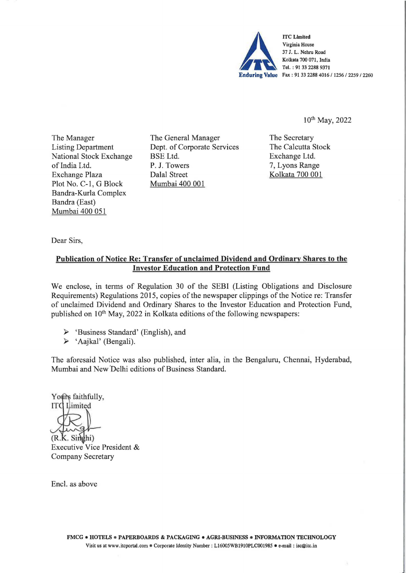

10th May, 2022

The Manager Listing Department National Stock Exchange of India Ltd. Exchange Plaza Plot No. C-1, G Block Bandra-Kurla Complex Bandra (East) Mumbai 400 051

The General Manager Dept. of Corporate Services BSE Ltd. P. J. Towers Dalal Street Mumbai 400 001

The Secretary The Calcutta Stock Exchange Ltd. 7, Lyons Range Kolkata 700 001

Dear Sirs,

## **Publication of Notice Re: Transfer of unclaimed Dividend and Ordinary Shares to the Investor Education and Protection Fund**

We enclose, in terms of Regulation 30 of the SEBI (Listing Obligations and Disclosure Requirements) Regulations 2015, copies of the newspaper clippings of the Notice re: Transfer of unclaimed Dividend and Ordinary Shares to the Investor Education and Protection Fund, published on 10th May, 2022 in Kolkata editions of the following newspapers:

► 'Business Standard' (English), and

► 'Aajkal' (Bengali).

The aforesaid Notice was also published, inter alia, in the Bengaluru, Chennai, Hyderabad, Mumbai and New 'Delhi editions of Business Standard.

Yours faithfully, **ITC** Limited  $(R.K. Sinkh)$ Executive Vice President & Company Secretary

Encl. as above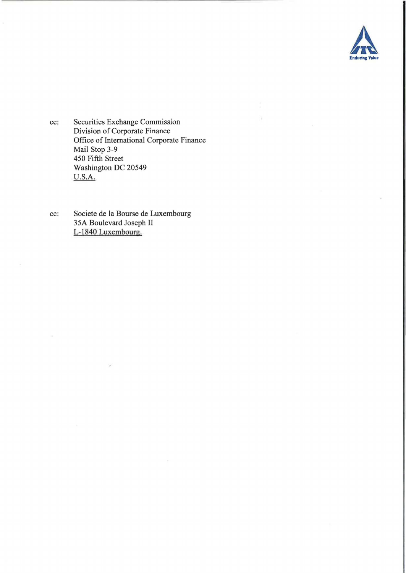

cc: Securities Exchange Commission Division of Corporate Finance Office of International Corporate Finance Mail Stop 3-9 450 Fifth Street Washington DC 20549 U.S.A.

cc: Societe de la Bourse de Luxembourg 35A Boulevard Joseph II L-1840 Luxembourg.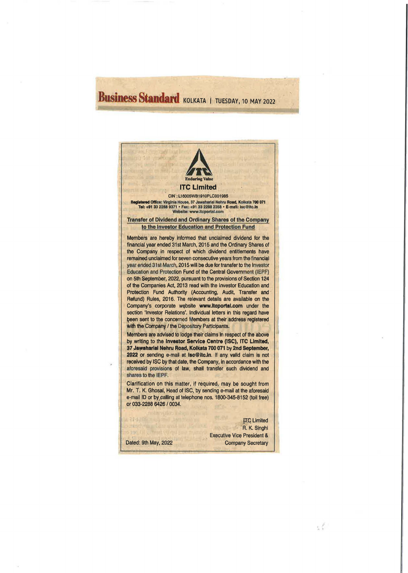## **Business Standard** KOLKATA | TUESDAY, 10 MAY 2022